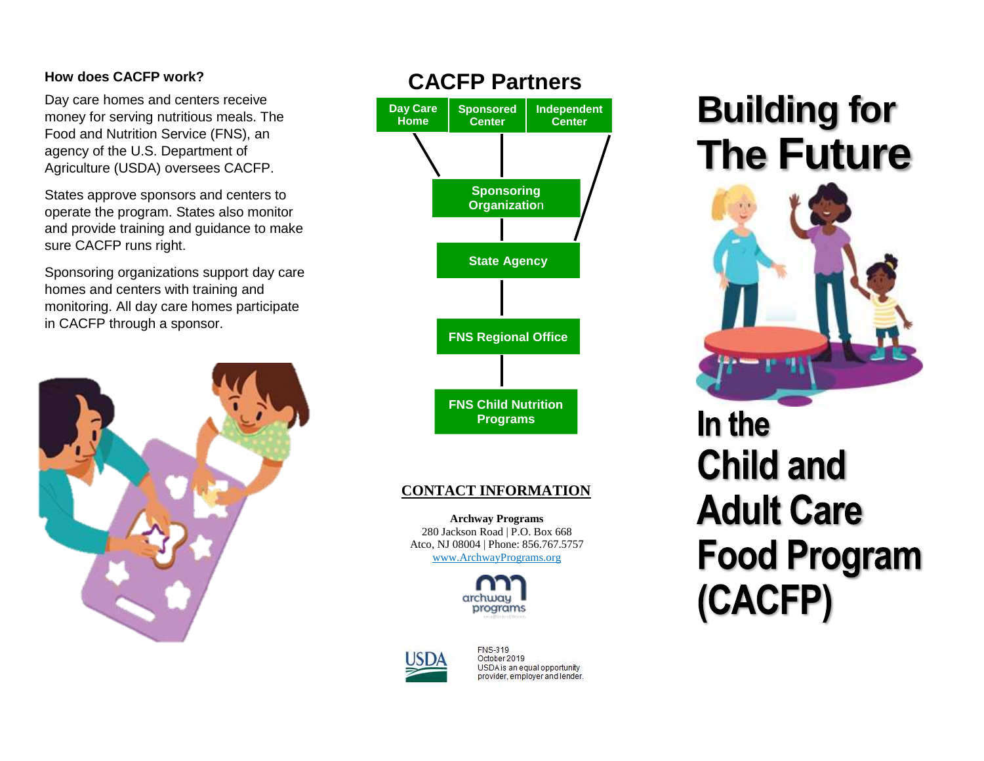#### **How does CACFP work?**

Day care homes and centers receive money for serving nutritious meals. The Food and Nutrition Service (FNS), an agency of the U.S. Department of Agriculture (USDA) oversees CACFP.

States approve sponsors and centers to operate the program. States also monitor and provide training and guidance to make sure CACFP runs right.

Sponsoring organizations support day care homes and centers with training and monitoring. All day care homes participate in CACFP through a sponsor.





#### **CONTACT INFORMATION**

**Archway Programs** 280 Jackson Road | P.O. Box 668 Atco, NJ 08004 | Phone: 856.767.5757 [www.ArchwayPrograms.org](http://www.archwayprograms.org/)





**FNS-319** October 2019 USDA is an equal opportunity provider, employer and lender.

## **Building for The Future**



In the **Child and Adult Care Food Program** (CACFP)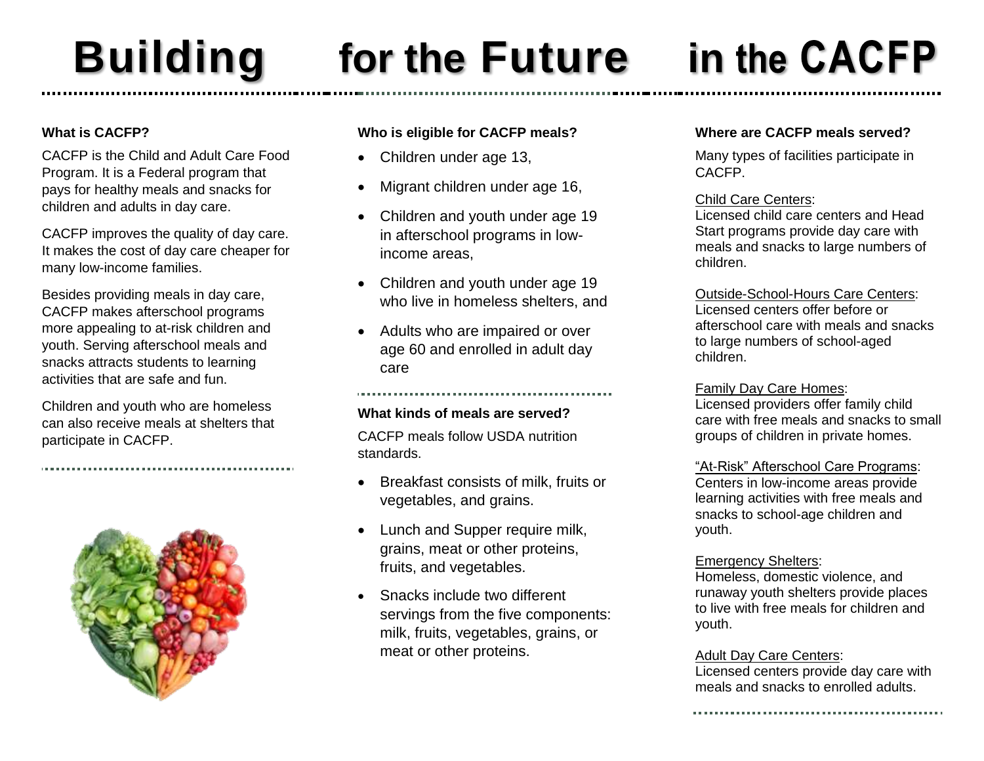## **Building for the Future in**

### **What is CACFP?**

CACFP is the Child and Adult Care Food Program. It is a Federal program that pays for healthy meals and snacks for children and adults in day care.

CACFP improves the quality of day care. It makes the cost of day care cheaper for many low-income families.

Besides providing meals in day care, CACFP makes afterschool programs more appealing to at-risk children and youth. Serving afterschool meals and snacks attracts students to learning activities that are safe and fun.

Children and youth who are homeless can also receive meals at shelters that participate in CACFP.



### **Who is eligible for CACFP meals?**

- Children under age 13,
- Migrant children under age 16,
- Children and youth under age 19 in afterschool programs in lowincome areas,
- Children and youth under age 19 who live in homeless shelters, and
- Adults who are impaired or over age 60 and enrolled in adult day care

### **What kinds of meals are served?**

CACFP meals follow USDA nutrition standards.

- Breakfast consists of milk, fruits or vegetables, and grains.
- Lunch and Supper require milk, grains, meat or other proteins, fruits, and vegetables.
- Snacks include two different servings from the five components: milk, fruits, vegetables, grains, or meat or other proteins.

#### **Where are CACFP meals served?**

Many types of facilities participate in CACFP.

#### Child Care Centers:

Licensed child care centers and Head Start programs provide day care with meals and snacks to large numbers of children.

#### Outside-School-Hours Care Centers:

Licensed centers offer before or afterschool care with meals and snacks to large numbers of school-aged children.

#### Family Day Care Homes:

Licensed providers offer family child care with free meals and snacks to small groups of children in private homes.

#### "At-Risk" Afterschool Care Programs:

Centers in low-income areas provide learning activities with free meals and snacks to school-age children and youth.

#### Emergency Shelters:

Homeless, domestic violence, and runaway youth shelters provide places to live with free meals for children and youth.

#### Adult Day Care Centers:

Licensed centers provide day care with meals and snacks to enrolled adults.